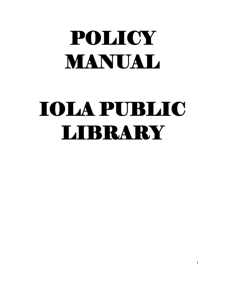# POLICY MANUAL

# IOLA PUBLIC LIBRARY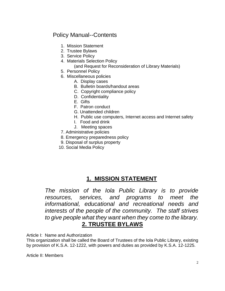# Policy Manual--Contents

- 1. Mission Statement
- 2. Trustee Bylaws
- 3. Service Policy
- 4. Materials Selection Policy
	- (and Request for Reconsideration of Library Materials)
- 5. Personnel Policy
- 6. Miscellaneous policies
	- A. Display cases
	- B. Bulletin boards/handout areas
	- C. Copyright compliance policy
	- D. Confidentiality
	- E. Gifts
	- F. Patron conduct
	- G. Unattended children
	- H. Public use computers, Internet access and Internet safety
	- I. Food and drink
	- J. Meeting spaces
- 7. Administrative policies
- 8. Emergency preparedness policy
- 9. Disposal of surplus property
- 10. Social Media Policy

# **1. MISSION STATEMENT**

*The mission of the Iola Public Library is to provide resources, services, and programs to meet the informational, educational and recreational needs and interests of the people of the community. The staff strives to give people what they want when they come to the library.* **2. TRUSTEE BYLAWS**

Article I: Name and Authorization

This organization shall be called the Board of Trustees of the Iola Public Library, existing by provision of K.S.A. 12-1222, with powers and duties as provided by K.S.A. 12-1225.

Article II: Members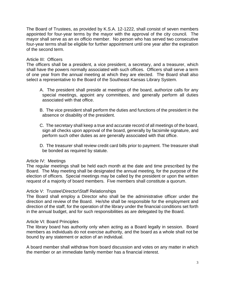The Board of Trustees, as provided by K.S.A. 12-1222, shall consist of seven members appointed for four-year terms by the mayor with the approval of the city council*.* The mayor shall serve as an ex officio member. No person who has served two consecutive four-year terms shall be eligible for further appointment until one year after the expiration of the second term.

# Article III: Officers

The officers shall be a president, a vice president, a secretary, and a treasurer, which shall have the powers normally associated with such offices. Officers shall serve a term of one year from the annual meeting at which they are elected. The Board shall also select a representative to the Board of the Southeast Kansas Library System.

- A. The president shall preside at meetings of the board, authorize calls for any special meetings, appoint any committees, and generally perform all duties associated with that office.
- B. The vice president shall perform the duties and functions of the president in the absence or disability of the president.
- C. The secretary shall keep a true and accurate record of all meetings of the board, sign all checks upon approval of the board, generally by facsimile signature, and perform such other duties as are generally associated with that office.
- D. The treasurer shall review credit card bills prior to payment. The treasurer shall be bonded as required by statute.

# Article IV: Meetings

The regular meetings shall be held each month at the date and time prescribed by the Board. The May meeting shall be designated the annual meeting, for the purpose of the election of officers. Special meetings may be called by the president or upon the written request of a majority of board members. Five members shall constitute a quorum.

# Article V: Trustee\Director\Staff Relationships

The Board shall employ a Director who shall be the administrative officer under the direction and review of the Board. He/she shall be responsible for the employment and direction of the staff, for the operation of the library under the financial conditions set forth in the annual budget, and for such responsibilities as are delegated by the Board.

# Article VI: Board Principles

The library board has authority only when acting as a Board legally in session. Board members as individuals do not exercise authority, and the board as a whole shall not be bound by any statement or action of an individual.

A board member shall withdraw from board discussion and votes on any matter in which the member or an immediate family member has a financial interest.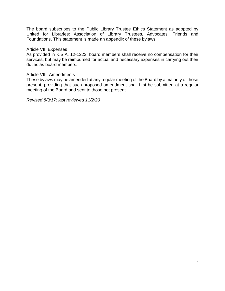The board subscribes to the Public Library Trustee Ethics Statement as adopted by United for Libraries: Association of Library Trustees, Advocates, Friends and Foundations. This statement is made an appendix of these bylaws.

#### Article VII: Expenses

As provided in K.S.A. 12-1223, board members shall receive no compensation for their services, but may be reimbursed for actual and necessary expenses in carrying out their duties as board members.

#### Article VIII: Amendments

These bylaws may be amended at any regular meeting of the Board by a majority of those present, providing that such proposed amendment shall first be submitted at a regular meeting of the Board and sent to those not present.

*Revised 8/3/17; last reviewed 11/2/20*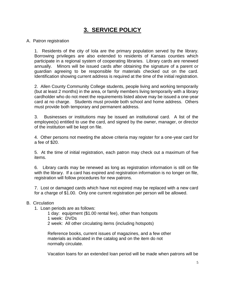# **3. SERVICE POLICY**

# A. Patron registration

1. Residents of the city of Iola are the primary population served by the library. Borrowing privileges are also extended to residents of Kansas counties which participate in a regional system of cooperating libraries. Library cards are renewed annually. Minors will be issued cards after obtaining the signature of a parent or guardian agreeing to be responsible for materials checked out on the card. Identification showing current address is required at the time of the initial registration.

2. Allen County Community College students, people living and working temporarily (but at least 2 months) in the area, or family members living temporarily with a library cardholder who do not meet the requirements listed above may be issued a one-year card at no charge. Students must provide both school and home address. Others must provide both temporary and permanent address.

3. Businesses or institutions may be issued an institutional card. A list of the employee(s) entitled to use the card, and signed by the owner, manager, or director of the institution will be kept on file.

4. Other persons not meeting the above criteria may register for a one-year card for a fee of \$20.

5. At the time of initial registration, each patron may check out a maximum of five items.

6. Library cards may be renewed as long as registration information is still on file with the library. If a card has expired and registration information is no longer on file, registration will follow procedures for new patrons.

7. Lost or damaged cards which have not expired may be replaced with a new card for a charge of \$1.00. Only one current registration per person will be allowed.

# B. Circulation

- 1. Loan periods are as follows:
	- 1 day: equipment (\$1.00 rental fee), other than hotspots
	- 1 week: DVDs
	- 2 week: All other circulating items (including hotspots)

Reference books, current issues of magazines, and a few other materials as indicated in the catalog and on the item do not normally circulate.

Vacation loans for an extended loan period will be made when patrons will be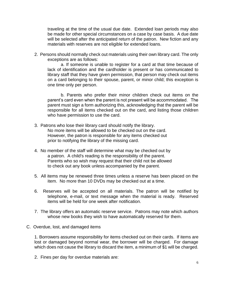traveling at the time of the usual due date. Extended loan periods may also be made for other special circumstances on a case by case basis. A due date will be selected after the anticipated return of the patron. New fiction and any materials with reserves are not eligible for extended loans.

2. Persons should normally check out materials using their own library card. The only exceptions are as follows:

a. If someone is unable to register for a card at that time because of lack of identification and the cardholder is present or has communicated to library staff that they have given permission, that person may check out items on a card belonging to their spouse, parent, or minor child; this exception is one time only per person.

b. Parents who prefer their minor children check out items on the parent's card even when the parent is not present will be accommodated. The parent must sign a form authorizing this, acknowledging that the parent will be responsible for all items checked out on the card, and listing those children who have permission to use the card.

- 3. Patrons who lose their library card should notify the library. No more items will be allowed to be checked out on the card. However, the patron is responsible for any items checked out prior to notifying the library of the missing card.
- 4. No member of the staff will determine what may be checked out by a patron. A child's reading is the responsibility of the parent. Parents who so wish may request that their child not be allowed to check out any book unless accompanied by the parent.
- 5. All items may be renewed three times unless a reserve has been placed on the item. No more than 10 DVDs may be checked out at a time.
- 6. Reserves will be accepted on all materials. The patron will be notified by telephone, e-mail, or text message when the material is ready. Reserved items will be held for one week after notification.
- 7. The library offers an automatic reserve service. Patrons may note which authors whose new books they wish to have automatically reserved for them.
- C. Overdue, lost, and damaged items

1. Borrowers assume responsibility for items checked out on their cards. If items are lost or damaged beyond normal wear, the borrower will be charged. For damage which does not cause the library to discard the item, a minimum of \$1 will be charged.

2. Fines per day for overdue materials are: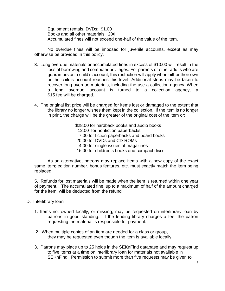Equipment rentals, DVDs: \$1.00 Books and all other materials: 20¢ Accumulated fines will not exceed one-half of the value of the item.

No overdue fines will be imposed for juvenile accounts, except as may otherwise be provided in this policy.

- 3. Long overdue materials or accumulated fines in excess of \$10.00 will result in the loss of borrowing and computer privileges. For parents or other adults who are guarantors on a child's account, this restriction will apply when either their own or the child's account reaches this level. Additional steps may be taken to recover long overdue materials, including the use a collection agency. When a long overdue account is turned to a collection agency, a \$15 fee will be charged.
- 4. The original list price will be charged for items lost or damaged to the extent that the library no longer wishes them kept in the collection. If the item is no longer in print, the charge will be the greater of the original cost of the item or:

\$28.00 for hardback books and audio books 12.00 for nonfiction paperbacks 7.00 for fiction paperbacks and board books 20.00 for DVDs and CD-ROMs 4.00 for single issues of magazines 15.00 for children's books and compact discs

As an alternative, patrons may replace items with a new copy of the exact same item; edition number, bonus features, etc. must exactly match the item being replaced.

5. Refunds for lost materials will be made when the item is returned within one year of payment. The accumulated fine, up to a maximum of half of the amount charged for the item, will be deducted from the refund.

- D. Interlibrary loan
	- 1. Items not owned locally, or missing, may be requested on interlibrary loan by patrons in good standing. If the lending library charges a fee, the patron requesting the material is responsible for payment.
	- 2. When multiple copies of an item are needed for a class or group, they may be requested even though the item is available locally.
	- 3. Patrons may place up to 25 holds in the SEKnFind database and may request up to five items at a time on interlibrary loan for materials not available in SEKnFind. Permission to submit more than five requests may be given to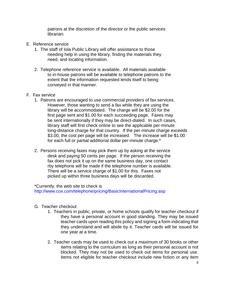patrons at the discretion of the director or the public services librarian.

- E. Reference service
	- 1. The staff of Iola Public Library will offer assistance to those needing help in using the library, finding the materials they need, and locating information.
	- 2. Telephone reference service is available. All materials available to in-house patrons will be available to telephone patrons to the extent that the information requested lends itself to being conveyed in that manner.
- F. Fax service
	- 1. Patrons are encouraged to use commercial providers of fax services. However, those wanting to send a fax while they are using the library will be accommodated. The charge will be \$2.00 for the first page sent and \$1.00 for each succeeding page. Faxes may be sent internationally if they may be direct-dialed. In such cases, library staff will first check online to see the applicable per-minute long-distance charge for that country. If the per-minute charge exceeds \$3.00, the cost per page will be increased. The increase will be \$1.00 for each full or partial additional dollar per-minute charge.\*
	- 2. Persons receiving faxes may pick them up by asking at the service desk and paying 50 cents per page. If the person receiving the fax does not pick it up on the same business day, one contact rby telephone will be made if the telephone number is available. There will be a service charge of \$1.00 for this. Faxes not picked up within three business days will be discarded.

\*Currently, the web site to check is

http://www.cox.com/telephone/pricing/BasicInternationalPricing.asp

- G. Teacher checkout
	- 1. Teachers in public, private, or home schools qualify for teacher checkout if they have a personal account in good standing. They may be issued teacher cards upon reading this policy and signing a form indicating that they understand and will abide by it. Teacher cards will be issued for one year at a time.
	- 2. Teacher cards may be used to check out a maximum of 30 books or other items relating to the curriculum as long as their personal account is not blocked. They may not be used to check out items for personal use. Items not eligible for teacher checkout include new fiction or any item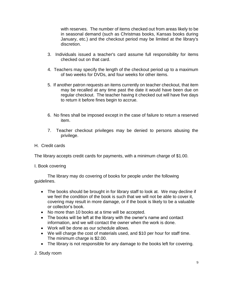with reserves. The number of items checked out from areas likely to be in seasonal demand (such as Christmas books, Kansas books during January, etc.) and the checkout period may be limited at the library's discretion.

- 3. Individuals issued a teacher's card assume full responsibility for items checked out on that card.
- 4. Teachers may specify the length of the checkout period up to a maximum of two weeks for DVDs, and four weeks for other items.
- 5. If another patron requests an items currently on teacher checkout, that item may be recalled at any time past the date it would have been due on regular checkout. The teacher having it checked out will have five days to return it before fines begin to accrue.
- 6. No fines shall be imposed except in the case of failure to return a reserved item.
- 7. Teacher checkout privileges may be denied to persons abusing the privilege.
- H. Credit cards

The library accepts credit cards for payments, with a minimum charge of \$1.00.

I. Book covering

The library may do covering of books for people under the following guidelines.

- The books should be brought in for library staff to look at. We may decline if we feel the condition of the book is such that we will not be able to cover it, covering may result in more damage, or if the book is likely to be a valuable or collector's book.
- No more than 10 books at a time will be accepted.
- The books will be left at the library with the owner's name and contact information, and we will contact the owner when the work is done.
- Work will be done as our schedule allows.
- We will charge the cost of materials used, and \$10 per hour for staff time. The minimum charge is \$2.00.
- The library is not responsible for any damage to the books left for covering.

J. Study room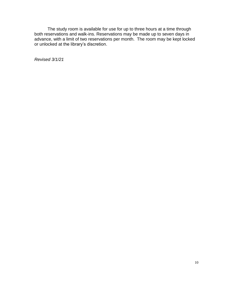The study room is available for use for up to three hours at a time through both reservations and walk-ins. Reservations may be made up to seven days in advance, with a limit of two reservations per month. The room may be kept locked or unlocked at the library's discretion.

*Revised 3/1/21*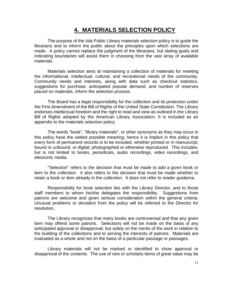# **4. MATERIALS SELECTION POLICY**

The purpose of the Iola Public Library materials selection policy is to guide the librarians and to inform the public about the principles upon which selections are made. A policy cannot replace the judgment of the librarians, but stating goals and indicating boundaries will assist them in choosing from the vast array of available materials.

Materials selection aims at maintaining a collection of materials for meeting the informational, intellectual, cultural, and recreational needs of the community. Community needs and interests, along with data such as checkout statistics, suggestions for purchase, anticipated popular demand, and number of reserves placed on materials, inform the selection process.

The Board has a legal responsibility for the collection and its protection under the First Amendment of the Bill of Rights of the United State Constitution. The Library endorses intellectual freedom and the right to read and view as outlined in the Library Bill of Rights adopted by the American Library Association. It is included as an appendix to the materials selection policy.

The words "book", "library materials", or other synonyms as they may occur in this policy have the widest possible meaning; hence it is implicit in this policy that every form of permanent records is to be included, whether printed or in manuscript; bound or unbound, or digital; photographed or otherwise reproduced. This includes, but is not limited to books, periodicals, audio recordings, video recordings, and electronic media.

"Selection" refers to the decision that must be made to add a given book or item to the collection. It also refers to the decision that must be made whether to retain a book or item already in the collection. It does not refer to reader guidance.

Responsibility for book selection lies with the Library Director, and to those staff members to whom he/she delegates the responsibility. Suggestions from patrons are welcome and given serious consideration within the general criteria. Unusual problems or deviation from the policy will be referred to the Director for resolution.

The Library recognizes that many books are controversial and that any given item may offend some patrons. Selections will not be made on the basis of any anticipated approval or disapproval, but solely on the merits of the work in relation to the building of the collections and to serving the interests of patrons. Materials are evaluated as a whole and not on the basis of a particular passage or passages.

Library materials will not be marked or identified to show approval or disapproval of the contents. The use of rare or scholarly items of great value may be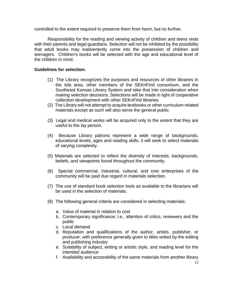controlled to the extent required to preserve them from harm, but no further.

Responsibility for the reading and viewing activity of children and teens rests with their parents and legal guardians. Selection will not be inhibited by the possibility that adult books may inadvertently come into the possession of children and teenagers. Children's books will be selected with the age and educational level of the children in mind.

## **Guidelines for selection:**

- (1) The Library recognizes the purposes and resources of other libraries in the Iola area, other members of the SEKnFind consortium, and the Southeast Kansas Library System and take that into consideration when making selection decisions. Selections will be made in light of cooperative collection development with other SEKnFind libraries.
- (2) The Library will not attempt to acquire textbooks or other curriculum-related materials except as such will also serve the general public.
- (3) Legal and medical works will be acquired only to the extent that they are useful to the lay person.
- (4) Because Library patrons represent a wide range of backgrounds, educational levels, ages and reading skills, it will seek to select materials of varying complexity.
- (5) Materials are selected to reflect the diversity of interests, backgrounds, beliefs, and viewpoints found throughout the community.
- (6) Special commercial, industrial, cultural, and civic enterprises of the community will be paid due regard in materials selection.
- (7) The use of standard book selection tools as available to the librarians will be used in the selection of materials.
- (8) The following general criteria are considered in selecting materials:
	- a. Value of material in relation to cost
	- b. Contemporary significance: i.e., attention of critics, reviewers and the public
	- c. Local demand
	- d. Reputation and qualifications of the author, artists, publisher, or producer, with preference generally given to titles vetted by the editing and publishing industry
	- e. Suitability of subject, writing or artistic style, and reading level for the intended audience
	- f. Availability and accessibility of the same materials from another library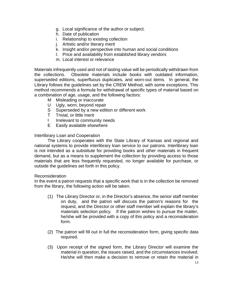- g. Local significance of the author or subject.
- h. Date of publication
- i. Relationship to existing collection
- j. Artistic and/or literary merit
- k. Insight and/or perspective into human and social conditions
- l. Price and availability from established library vendors
- m. Local interest or relevance

Materials infrequently used and not of lasting value will be periodically withdrawn from the collections. Obsolete materials include books with outdated information, superseded editions, superfluous duplicates, and worn-out items. In general, the Library follows the guidelines set by the CREW Method, with some exceptions. This method recommends a formula for withdrawal of specific types of material based on a combination of age, usage, and the following factors:

- M Misleading or inaccurate
- U Ugly, worn, beyond repair
- S Superseded by a new edition or different work
- T Trivial, or little merit
- I Irrelevant to community needs
- E Easily available elsewhere

# Interlibrary Loan and Cooperation

The Library cooperates with the State Library of Kansas and regional and national systems to provide interlibrary loan service to our patrons. Interlibrary loan is not intended as a substitute for providing books and other materials in frequent demand, but as a means to supplement the collection by providing access to those materials that are less frequently requested, no longer available for purchase, or outside the guidelines set forth in this policy.

# Reconsideration

In the event a patron requests that a specific work that is in the collection be removed from the library, the following action will be taken.

- (1) The Library Director or, in the Director's absence, the senior staff member on duty, and the patron will discuss the patron's reasons for the request, and the Director or other staff member will explain the library's materials selection policy. If the patron wishes to pursue the matter, he/she will be provided with a copy of this policy and a reconsideration form.
- (2) The patron will fill out in full the reconsideration form, giving specific data required.
- (3) Upon receipt of the signed form, the Library Director will examine the material in question, the issues raised, and the circumstances involved. He/she will then make a decision to remove or retain the material in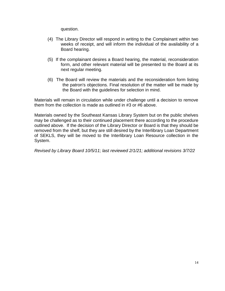question.

- (4) The Library Director will respond in writing to the Complainant within two weeks of receipt, and will inform the individual of the availability of a Board hearing.
- (5) If the complainant desires a Board hearing, the material, reconsideration form, and other relevant material will be presented to the Board at its next regular meeting.
- (6) The Board will review the materials and the reconsideration form listing the patron's objections. Final resolution of the matter will be made by the Board with the guidelines for selection in mind.

Materials will remain in circulation while under challenge until a decision to remove them from the collection is made as outlined in #3 or #6 above.

Materials owned by the Southeast Kansas Library System but on the public shelves may be challenged as to their continued placement there according to the procedure outlined above. If the decision of the Library Director or Board is that they should be removed from the shelf, but they are still desired by the Interlibrary Loan Department of SEKLS, they will be moved to the Interlibrary Loan Resource collection in the System.

*Revised by Library Board 10/5/11; last reviewed 2/1/21; additional revisions 3/7/22*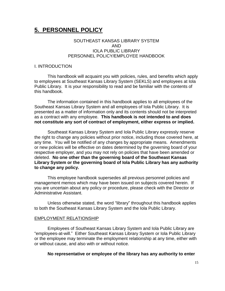# **5. PERSONNEL POLICY**

## SOUTHEAST KANSAS LIBRARY SYSTEM AND IOLA PUBLIC LIBRARY PERSONNEL POLICY/EMPLOYEE HANDBOOK

#### I. INTRODUCTION

This handbook will acquaint you with policies, rules, and benefits which apply to employees at Southeast Kansas Library System (SEKLS) and employees at Iola Public Library. It is your responsibility to read and be familiar with the contents of this handbook.

The information contained in this handbook applies to all employees of the Southeast Kansas Library System and all employees of Iola Public Library. It is presented as a matter of information only and its contents should not be interpreted as a contract with any employee. **This handbook is not intended to and does not constitute any sort of contract of employment, either express or implied.**

Southeast Kansas Library System and Iola Public Library expressly reserve the right to change any policies without prior notice, including those covered here, at any time. You will be notified of any changes by appropriate means. Amendments or new policies will be effective on dates determined by the governing board of your respective employer, and you may not rely on policies that have been amended or deleted. **No one other than the governing board of the Southeast Kansas Library System or the governing board of Iola Public Library has any authority to change any policy.**

This employee handbook supersedes all previous personnel policies and management memos which may have been issued on subjects covered herein. If you are uncertain about any policy or procedure, please check with the Director or Administrative Assistant.

Unless otherwise stated, the word "library" throughout this handbook applies to both the Southeast Kansas Library System and the Iola Public Library.

#### EMPLOYMENT RELATIONSHIP

Employees of Southeast Kansas Library System and Iola Public Library are "employees-at-will." Either Southeast Kansas Library System or Iola Public Library or the employee may terminate the employment relationship at any time, either with or without cause, and also with or without notice.

#### **No representative or employee of the library has any authority to enter**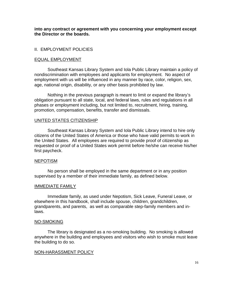**into any contract or agreement with you concerning your employment except the Director or the boards.**

# II. EMPLOYMENT POLICIES

#### EQUAL EMPLOYMENT

Southeast Kansas Library System and Iola Public Library maintain a policy of nondiscrimination with employees and applicants for employment. No aspect of employment with us will be influenced in any manner by race, color, religion, sex, age, national origin, disability, or any other basis prohibited by law.

Nothing in the previous paragraph is meant to limit or expand the library's obligation pursuant to all state, local, and federal laws, rules and regulations in all phases or employment including, but not limited to, recruitment, hiring, training, promotion, compensation, benefits, transfer and dismissals.

#### UNITED STATES CITIZENSHIP

Southeast Kansas Library System and Iola Public Library intend to hire only citizens of the United States of America or those who have valid permits to work in the United States. All employees are required to provide proof of citizenship as requested or proof of a United States work permit before he/she can receive his/her first paycheck.

#### NEPOTISM

No person shall be employed in the same department or in any position supervised by a member of their immediate family, as defined below.

#### IMMEDIATE FAMILY

Immediate family, as used under Nepotism, Sick Leave, Funeral Leave, or elsewhere in this handbook, shall include spouse, children, grandchildren, grandparents, and parents, as well as comparable step-family members and inlaws.

#### NO-SMOKING

The library is designated as a no-smoking building. No smoking is allowed anywhere in the building and employees and visitors who wish to smoke must leave the building to do so.

#### NON-HARASSMENT POLICY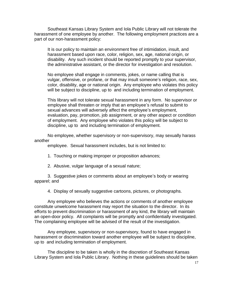Southeast Kansas Library System and Iola Public Library will not tolerate the harassment of one employee by another. The following employment practices are a part of our non-harassment policy:

It is our policy to maintain an environment free of intimidation, insult, and harassment based upon race, color, religion, sex, age, national origin, or disability. Any such incident should be reported promptly to your supervisor, the administrative assistant, or the director for investigation and resolution.

No employee shall engage in comments, jokes, or name calling that is vulgar, offensive, or profane, or that may insult someone's religion, race, sex, color, disability, age or national origin. Any employee who violates this policy will be subject to discipline, up to and including termination of employment.

This library will not tolerate sexual harassment in any form. No supervisor or employee shall threaten or imply that an employee's refusal to submit to sexual advances will adversely affect the employee's employment, evaluation, pay, promotion, job assignment, or any other aspect or condition of employment. Any employee who violates this policy will be subject to discipline, up to and including termination of employment.

No employee, whether supervisory or non-supervisory, may sexually harass another

employee. Sexual harassment includes, but is not limited to:

- 1. Touching or making improper or proposition advances;
- 2. Abusive, vulgar language of a sexual nature;

3. Suggestive jokes or comments about an employee's body or wearing apparel; and

4. Display of sexually suggestive cartoons, pictures, or photographs.

Any employee who believes the actions or comments of another employee constitute unwelcome harassment may report the situation to the director. In its efforts to prevent discrimination or harassment of any kind, the library will maintain an open-door policy. All complaints will be promptly and confidentially investigated. The complaining employee will be advised of the result of the investigation.

Any employee, supervisory or non-supervisory, found to have engaged in harassment or discrimination toward another employee will be subject to discipline, up to and including termination of employment.

The discipline to be taken is wholly in the discretion of Southeast Kansas Library System and Iola Public Library. Nothing in these guidelines should be taken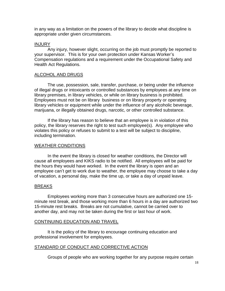in any way as a limitation on the powers of the library to decide what discipline is appropriate under given circumstances.

#### INJURY

Any injury, however slight, occurring on the job must promptly be reported to your supervisor. This is for your own protection under Kansas Worker's Compensation regulations and a requirement under the Occupational Safety and Health Act Regulations.

#### ALCOHOL AND DRUGS

The use, possession, sale, transfer, purchase, or being under the influence of illegal drugs or intoxicants or controlled substances by employees at any time on library premises, in library vehicles, or while on library business is prohibited. Employees must not be on library business or on library property or operating library vehicles or equipment while under the influence of any alcoholic beverage, marijuana, or illegally obtained drugs, narcotic, or other controlled substance.

If the library has reason to believe that an employee is in violation of this policy, the library reserves the right to test such employee(s). Any employee who violates this policy or refuses to submit to a test will be subject to discipline, including termination.

#### WEATHER CONDITIONS

In the event the library is closed for weather conditions, the Director will cause all employees and KIKS radio to be notified. All employees will be paid for the hours they would have worked. In the event the library is open and an employee can't get to work due to weather, the employee may choose to take a day of vacation, a personal day, make the time up, or take a day of unpaid leave.

# BREAKS

Employees working more than 3 consecutive hours are authorized one 15 minute rest break, and those working more than 6 hours in a day are authorized two 15-minute rest breaks. Breaks are not cumulative, cannot be carried over to another day, and may not be taken during the first or last hour of work.

# CONTINUING EDUCATION AND TRAVEL

It is the policy of the library to encourage continuing education and professional involvement for employees.

# STANDARD OF CONDUCT AND CORRECTIVE ACTION

Groups of people who are working together for any purpose require certain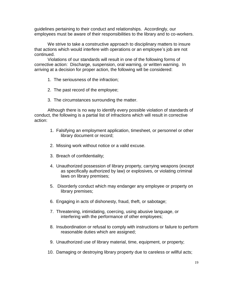guidelines pertaining to their conduct and relationships. Accordingly, our employees must be aware of their responsibilities to the library and to co-workers.

We strive to take a constructive approach to disciplinary matters to insure that actions which would interfere with operations or an employee's job are not continued.

Violations of our standards will result in one of the following forms of corrective action: Discharge, suspension, oral warning, or written warning. In arriving at a decision for proper action, the following will be considered:

- 1. The seriousness of the infraction;
- 2. The past record of the employee;
- 3. The circumstances surrounding the matter.

Although there is no way to identify every possible violation of standards of conduct, the following is a partial list of infractions which will result in corrective action:

- 1. Falsifying an employment application, timesheet, or personnel or other library document or record;
- 2. Missing work without notice or a valid excuse.
- 3. Breach of confidentiality;
- 4. Unauthorized possession of library property, carrying weapons (except as specifically authorized by law) or explosives, or violating criminal laws on library premises;
- 5. Disorderly conduct which may endanger any employee or property on library premises;
- 6. Engaging in acts of dishonesty, fraud, theft, or sabotage;
- 7. Threatening, intimidating, coercing, using abusive language, or interfering with the performance of other employees;
- 8. Insubordination or refusal to comply with instructions or failure to perform reasonable duties which are assigned;
- 9. Unauthorized use of library material, time, equipment, or property;
- 10. Damaging or destroying library property due to careless or willful acts;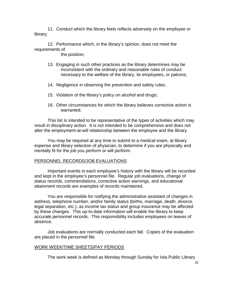11. Conduct which the library feels reflects adversely on the employee or library;

12. Performance which, in the library's opinion, does not meet the requirements of

the position;

- 13. Engaging in such other practices as the library determines may be inconsistent with the ordinary and reasonable rules of conduct necessary to the welfare of the library, its employees, or patrons;
- 14. Negligence in observing fire prevention and safety rules;
- 15. Violation of the library's policy on alcohol and drugs;
- 16. Other circumstances for which the library believes corrective action is warranted.

This list is intended to be representative of the types of activities which may result in disciplinary action. It is not intended to be comprehensive and does not alter the employment-at-will relationship between the employee and the library.

You may be required at any time to submit to a medical exam, at library expense and library selection of physician, to determine if you are physically and mentally fit for the job you perform or will perform.

# PERSONNEL RECORDS/JOB EVALUATIONS

Important events in each employee's history with the library will be recorded and kept in the employee's personnel file. Regular job evaluations, change of status records, commendations, corrective action warnings, and educational attainment records are examples of records maintained.

You are responsible for notifying the administrative assistant of changes in address, telephone number, and/or family status (births, marriage, death, divorce, legal separation, etc.), as income tax status and group insurance may be affected by these changes. This up-to-date information will enable the library to keep accurate personnel records. This responsibility includes employees on leaves of absence.

Job evaluations are normally conducted each fall. Copies of the evaluation are placed in the personnel file.

# WORK WEEK/TIME SHEETS/PAY PERIODS

The work week is defined as Monday through Sunday for Iola Public Library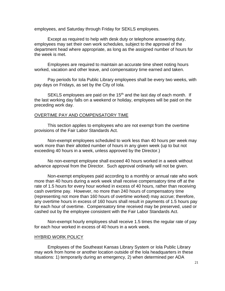employees, and Saturday through Friday for SEKLS employees.

Except as required to help with desk duty or telephone answering duty, employees may set their own work schedules, subject to the approval of the department head where appropriate, as long as the assigned number of hours for the week is met.

Employees are required to maintain an accurate time sheet noting hours worked, vacation and other leave, and compensatory time earned and taken.

Pay periods for Iola Public Library employees shall be every two weeks, with pay days on Fridays, as set by the City of Iola.

SEKLS employees are paid on the 15<sup>th</sup> and the last day of each month. If the last working day falls on a weekend or holiday, employees will be paid on the preceding work day.

#### OVERTIME PAY AND COMPENSATORY TIME

This section applies to employees who are not exempt from the overtime provisions of the Fair Labor Standards Act.

Non-exempt employees scheduled to work less than 40 hours per week may work more than their allotted number of hours in any given week (up to but not exceeding 40 hours in a week, unless approved by the Director.)

No non-exempt employee shall exceed 40 hours worked in a week without advance approval from the Director. Such approval ordinarily will not be given.

Non-exempt employees paid according to a monthly or annual rate who work more than 40 hours during a work week shall receive compensatory time off at the rate of 1.5 hours for every hour worked in excess of 40 hours, rather than receiving cash overtime pay. However, no more than 240 hours of compensatory time (representing not more than 160 hours of overtime worked) may accrue; therefore, any overtime hours in excess of 160 hours shall result in payments of 1.5 hours pay for each hour of overtime. Compensatory time received may be preserved, used or cashed out by the employee consistent with the Fair Labor Standards Act.

Non-exempt hourly employees shall receive 1.5 times the regular rate of pay for each hour worked in excess of 40 hours in a work week.

#### HYBRID WORK POLICY

Employees of the Southeast Kansas Library System or Iola Public Library may work from home or another location outside of the Iola headquarters in these situations: 1) temporarily during an emergency, 2) when determined per ADA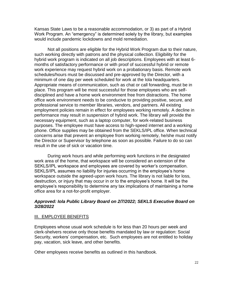Kansas State Laws to be a reasonable accommodation, or 3) as part of a Hybrid Work Program. An "emergency" is determined solely by the library, but examples would include pandemic lockdowns and mold remediation.

Not all positions are eligible for the Hybrid Work Program due to their nature, such working directly with patrons and the physical collection. Eligibility for the hybrid work program is indicated on all job descriptions. Employees with at least 6 months of satisfactory performance or with proof of successful hybrid or remote work experience may request hybrid work on a probationary basis. Remote work schedules/hours must be discussed and pre-approved by the Director, with a minimum of one day per week scheduled for work at the Iola headquarters. Appropriate means of communication, such as chat or call forwarding, must be in place. This program will be most successful for those employees who are selfdisciplined and have a home work environment free from distractions. The home office work environment needs to be conducive to providing positive, secure, and professional service to member libraries, vendors, and partners. All existing employment policies remain in effect for employees working remotely. A decline in performance may result in suspension of hybrid work. The library will provide the necessary equipment, such as a laptop computer, for work-related business purposes. The employee must have access to high-speed internet and a working phone. Office supplies may be obtained from the SEKLS/IPL office. When technical concerns arise that prevent an employee from working remotely, he/she must notify the Director or Supervisor by telephone as soon as possible. Failure to do so can result in the use of sick or vacation time.

During work hours and while performing work functions in the designated work area of the home, that workspace will be considered an extension of the SEKLS/IPL workspace and employees are covered by worker's compensation. SEKLS/IPL assumes no liability for injuries occurring in the employee's home workspace outside the agreed-upon work hours. The library is not liable for loss, destruction, or injury that may occur in or to the employee's home. It will be the employee's responsibility to determine any tax implications of maintaining a home office area for a not-for-profit employer.

# *Approved: Iola Public Library Board on 2/7/2022; SEKLS Executive Board on 3/28/2022*

# III. EMPLOYEE BENEFITS

Employees whose usual work schedule is for less than 20 hours per week and clerk-shelvers receive only those benefits mandated by law or regulation: Social Security, workers' compensation, etc. Such employees are not entitled to holiday pay, vacation, sick leave, and other benefits.

Other employees receive benefits as outlined in this handbook.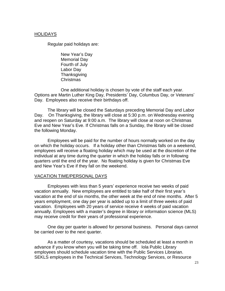#### HOLIDAYS

Regular paid holidays are:

New Year's Day Memorial Day Fourth of July Labor Day **Thanksgiving** Christmas

One additional holiday is chosen by vote of the staff each year. Options are Martin Luther King Day, Presidents' Day, Columbus Day, or Veterans' Day. Employees also receive their birthdays off.

The library will be closed the Saturdays preceding Memorial Day and Labor Day. On Thanksgiving, the library will close at 5:30 p.m. on Wednesday evening and reopen on Saturday at 9:00 a.m. The library will close at noon on Christmas Eve and New Year's Eve. If Christmas falls on a Sunday, the library will be closed the following Monday.

Employees will be paid for the number of hours normally worked on the day on which the holiday occurs. If a holiday other than Christmas falls on a weekend, employees will receive a floating holiday which may be used at the discretion of the individual at any time during the quarter in which the holiday falls or in following quarters until the end of the year. No floating holiday is given for Christmas Eve and New Year's Eve if they fall on the weekend.

#### VACATION TIME/PERSONAL DAYS

Employees with less than 5 years' experience receive two weeks of paid vacation annually. New employees are entitled to take half of their first year's vacation at the end of six months, the other week at the end of nine months. After 5 years employment, one day per year is added up to a limit of three weeks of paid vacation. Employees with 20 years of service receive 4 weeks of paid vacation annually. Employees with a master's degree in library or information science (MLS) may receive credit for their years of professional experience.

One day per quarter is allowed for personal business. Personal days cannot be carried over to the next quarter.

As a matter of courtesy, vacations should be scheduled at least a month in advance if you know when you will be taking time off. Iola Public Library employees should schedule vacation time with the Public Services Librarian. SEKLS employees in the Technical Services, Technology Services, or Resource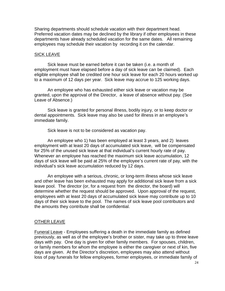Sharing departments should schedule vacation with their department head. Preferred vacation dates may be declined by the library if other employees in these departments have already scheduled vacation for the same dates. All remaining employees may schedule their vacation by recording it on the calendar.

## SICK LEAVE

Sick leave must be earned before it can be taken (i.e. a month of employment must have elapsed before a day of sick leave can be claimed). Each eligible employee shall be credited one hour sick leave for each 20 hours worked up to a maximum of 12 days per year. Sick leave may accrue to 125 working days.

An employee who has exhausted either sick leave or vacation may be granted, upon the approval of the Director, a leave of absence without pay. (See Leave of Absence.)

Sick leave is granted for personal illness, bodily injury, or to keep doctor or dental appointments. Sick leave may also be used for illness in an employee's immediate family.

Sick leave is not to be considered as vacation pay.

An employee who 1) has been employed at least 3 years, and 2) leaves employment with at least 20 days of accumulated sick leave, will be compensated for 25% of the unused sick leave at that individual's current hourly rate of pay. Whenever an employee has reached the maximum sick leave accumulation, 12 days of sick leave will be paid at 25% of the employee's current rate of pay, with the individual's sick leave accumulation reduced by 12 days.

An employee with a serious, chronic, or long-term illness whose sick leave and other leave has been exhausted may apply for additional sick leave from a sick leave pool. The director (or, for a request from the director, the board) will determine whether the request should be approved. Upon approval of the request, employees with at least 20 days of accumulated sick leave may contribute up to 10 days of their sick leave to the pool. The names of sick leave pool contributors and the amounts they contribute shall be confidential.

# OTHER LEAVE

Funeral Leave - Employees suffering a death in the immediate family as defined previously, as well as of the employee's brother or sister, may take up to three leave days with pay. One day is given for other family members. For spouses, children, or family members for whom the employee is either the caregiver or next of kin, five days are given.At the Director's discretion, employees may also attend without loss of pay funerals for fellow employees, former employees, or immediate family of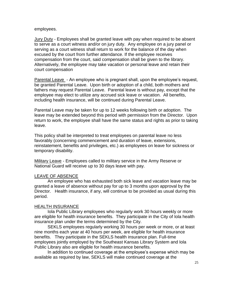employees.

Jury Duty - Employees shall be granted leave with pay when required to be absent to serve as a court witness and/or on jury duty. Any employee on a jury panel or serving as a court witness shall return to work for the balance of the day when excused by the court from further attendance. If the employee receives compensation from the court, said compensation shall be given to the library. Alternatively, the employee may take vacation or personal leave and retain their court compensation

Parental Leave - An employee who is pregnant shall, upon the employee's request, be granted Parental Leave. Upon birth or adoption of a child, both mothers and fathers may request Parental Leave. Parental leave is without pay, except that the employee may elect to utilize any accrued sick leave or vacation. All benefits, including health insurance, will be continued during Parental Leave.

Parental Leave may be taken for up to 12 weeks following birth or adoption. The leave may be extended beyond this period with permission from the Director. Upon return to work, the employee shall have the same status and rights as prior to taking leave.

This policy shall be interpreted to treat employees on parental leave no less favorably (concerning commencement and duration of leave, extensions, reinstatement, benefits and privileges, etc.) as employees on leave for sickness or temporary disability.

Military Leave - Employees called to military service in the Army Reserve or National Guard will receive up to 30 days leave with pay.

# LEAVE OF ABSENCE

An employee who has exhausted both sick leave and vacation leave may be granted a leave of absence without pay for up to 3 months upon approval by the Director. Health insurance, if any, will continue to be provided as usual during this period.

# HEALTH INSURANCE

Iola Public Library employees who regularly work 30 hours weekly or more are eligible for health insurance benefits. They participate in the City of Iola health insurance plan under the terms determined by the City.

SEKLS employees regularly working 30 hours per week or more, or at least nine months each year at 40 hours per week, are eligible for health insurance benefits. They participate in the SEKLS health insurance plan. Full-time employees jointly employed by the Southeast Kansas Library System and Iola Public Library also are eligible for health insurance benefits.

In addition to continued coverage at the employee's expense which may be available as required by law, SEKLS will make continued coverage at the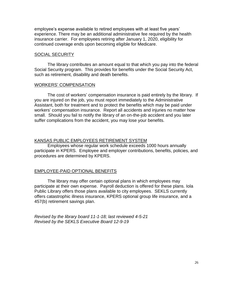employee's expense available to retired employees with at least five years' experience. There may be an additional administrative fee required by the health insurance carrier. For employees retiring after January 1, 2020, eligibility for continued coverage ends upon becoming eligible for Medicare.

## SOCIAL SECURITY

The library contributes an amount equal to that which you pay into the federal Social Security program. This provides for benefits under the Social Security Act, such as retirement, disability and death benefits.

#### WORKERS' COMPENSATION

The cost of workers' compensation insurance is paid entirely by the library. If you are injured on the job, you must report immediately to the Administrative Assistant, both for treatment and to protect the benefits which may be paid under workers' compensation insurance. Report all accidents and injuries no matter how small. Should you fail to notify the library of an on-the-job accident and you later suffer complications from the accident, you may lose your benefits.

# KANSAS PUBLIC EMPLOYEES RETIREMENT SYSTEM

Employees whose regular work schedule exceeds 1000 hours annually participate in KPERS. Employee and employer contributions, benefits, policies, and procedures are determined by KPERS.

# EMPLOYEE-PAID OPTIONAL BENEFITS

The library may offer certain optional plans in which employees may participate at their own expense. Payroll deduction is offered for these plans. Iola Public Library offers those plans available to city employees. SEKLS currently offers catastrophic illness insurance, KPERS optional group life insurance, and a 457(b) retirement savings plan.

*Revised by the library board 11-1-18; last reviewed 4-5-21 Revised by the SEKLS Executive Board 12-9-19*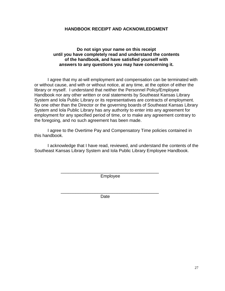# **HANDBOOK RECEIPT AND ACKNOWLEDGMENT**

# **Do not sign your name on this receipt until you have completely read and understand the contents of the handbook, and have satisfied yourself with answers to any questions you may have concerning it.**

I agree that my at-will employment and compensation can be terminated with or without cause, and with or without notice, at any time, at the option of either the library or myself. I understand that neither the Personnel Policy/Employee Handbook nor any other written or oral statements by Southeast Kansas Library System and Iola Public Library or its representatives are contracts of employment. No one other than the Director or the governing boards of Southeast Kansas Library System and Iola Public Library has any authority to enter into any agreement for employment for any specified period of time, or to make any agreement contrary to the foregoing, and no such agreement has been made.

I agree to the Overtime Pay and Compensatory Time policies contained in this handbook.

I acknowledge that I have read, reviewed, and understand the contents of the Southeast Kansas Library System and Iola Public Library Employee Handbook.

> \_\_\_\_\_\_\_\_\_\_\_\_\_\_\_\_\_\_\_\_\_\_\_\_\_\_\_\_\_\_\_\_\_\_\_\_\_\_\_\_ Employee

> \_\_\_\_\_\_\_\_\_\_\_\_\_\_\_\_\_\_\_\_\_\_\_\_\_\_\_\_\_\_\_\_\_\_\_\_\_\_\_\_ **Date**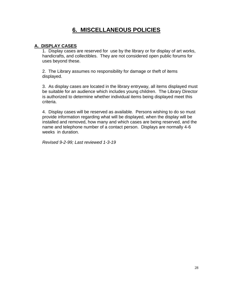# **6. MISCELLANEOUS POLICIES**

# **A. DISPLAY CASES**

1. Display cases are reserved for use by the library or for display of art works, handicrafts, and collectibles. They are not considered open public forums for uses beyond these.

2. The Library assumes no responsibility for damage or theft of items displayed.

3. As display cases are located in the library entryway, all items displayed must be suitable for an audience which includes young children. The Library Director is authorized to determine whether individual items being displayed meet this criteria.

4. Display cases will be reserved as available. Persons wishing to do so must provide information regarding what will be displayed, when the display will be installed and removed, how many and which cases are being reserved, and the name and telephone number of a contact person. Displays are normally 4-6 weeks in duration.

*Revised 9-2-99; Last reviewed 1-3-19*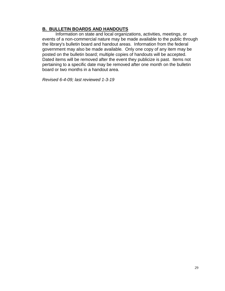# **B. BULLETIN BOARDS AND HANDOUTS**

Information on state and local organizations, activities, meetings, or events of a non-commercial nature may be made available to the public through the library's bulletin board and handout areas. Information from the federal government may also be made available*.* Only one copy of any item may be posted on the bulletin board; multiple copies of handouts will be accepted. Dated items will be removed after the event they publicize is past. Items not pertaining to a specific date may be removed after one month on the bulletin board or two months in a handout area.

*Revised 6-4-09; last reviewed 1-3-19*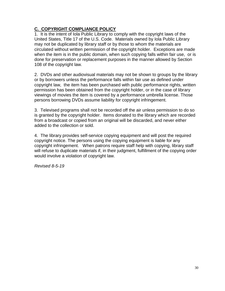# **C. COPYRIGHT COMPLIANCE POLICY**

1. It is the intent of Iola Public Library to comply with the copyright laws of the United States, Title 17 of the U.S. Code. Materials owned by Iola Public Library may not be duplicated by library staff or by those to whom the materials are circulated without written permission of the copyright holder. Exceptions are made when the item is in the public domain, when such copying falls within fair use, or is done for preservation or replacement purposes in the manner allowed by Section 108 of the copyright law.

2. DVDs and other audiovisual materials may not be shown to groups by the library or by borrowers unless the performance falls within fair use as defined under copyright law, the item has been purchased with public performance rights, written permission has been obtained from the copyright holder, or in the case of library viewings of movies the item is covered by a performance umbrella license. Those persons borrowing DVDs assume liability for copyright infringement.

3. Televised programs shall not be recorded off the air unless permission to do so is granted by the copyright holder. Items donated to the library which are recorded from a broadcast or copied from an original will be discarded, and never either added to the collection or sold.

4. The library provides self-service copying equipment and will post the required copyright notice. The persons using the copying equipment is liable for any copyright infringement. When patrons require staff help with copying, library staff will refuse to duplicate materials if, in their judgment, fulfillment of the copying order would involve a violation of copyright law.

*Revised 8-5-19*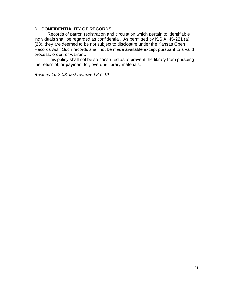# **D. CONFIDENTIALITY OF RECORDS**

Records of patron registration and circulation which pertain to identifiable individuals shall be regarded as confidential. As permitted by K.S.A. 45-221 (a) (23), they are deemed to be not subject to disclosure under the Kansas Open Records Act. Such records shall not be made available except pursuant to a valid process, order, or warrant.

This policy shall not be so construed as to prevent the library from pursuing the return of, or payment for, overdue library materials.

*Revised 10-2-03; last reviewed 8-5-19*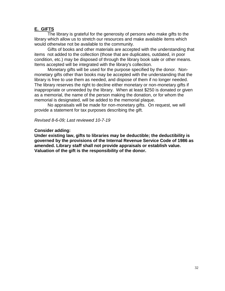# **E. GIFTS**

The library is grateful for the generosity of persons who make gifts to the library which allow us to stretch our resources and make available items which would otherwise not be available to the community.

Gifts of books and other materials are accepted with the understanding that items not added to the collection (those that are duplicates, outdated, in poor condition, etc.) may be disposed of through the library book sale or other means. Items accepted will be integrated with the library's collection.

Monetary gifts will be used for the purpose specified by the donor. Nonmonetary gifts other than books may be accepted with the understanding that the library is free to use them as needed, and dispose of them if no longer needed. The library reserves the right to decline either monetary or non-monetary gifts if inappropriate or unneeded by the library. When at least \$250 is donated or given as a memorial, the name of the person making the donation, or for whom the memorial is designated, will be added to the memorial plaque.

No appraisals will be made for non-monetary gifts. On request, we will provide a statement for tax purposes describing the gift.

*Revised 8-6-09; Last reviewed 10-7-19*

#### **Consider adding:**

**Under existing law, gifts to libraries may be deductible; the deductibility is governed by the provisions of the Internal Revenue Service Code of 1986 as amended. Library staff shall not provide appraisals or establish value. Valuation of the gift is the responsibility of the donor.**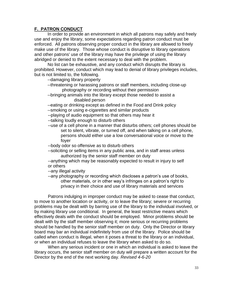# **F. PATRON CONDUCT**

In order to provide an environment in which all patrons may safely and freely use and enjoy the library, some expectations regarding patron conduct must be enforced. All patrons observing proper conduct in the library are allowed to freely make use of the library. Those whose conduct is disruptive to library operations and other patrons' use of the library may have the privilege of using the library abridged or denied to the extent necessary to deal with the problem.

No list can be exhaustive, and any conduct which disrupts the library is prohibited. However, conduct which may lead to denial of library privileges includes, but is not limited to, the following.

--damaging library property

- --threatening or harassing patrons or staff members, including close-up photography or recording without their permission
- --bringing animals into the library except those needed to assist a disabled person
- --eating or drinking except as defined in the Food and Drink policy
- --smoking or using e-cigarettes and similar products
- --playing of audio equipment so that others may hear it
- --talking loudly enough to disturb others
- --use of a cell phone in a manner that disturbs others; cell phones should be set to silent, vibrate, or turned off, and when talking on a cell phone, persons should either use a low conversational voice or move to the foyer
- --body odor so offensive as to disturb others
- --soliciting or selling items in any public area, and in staff areas unless authorized by the senior staff member on duty
- --anything which may be reasonably expected to result in injury to self or others
- --any illegal activity
- --any photography or recording which discloses a patron's use of books, other materials, or in other way's infringes on a patron's right to privacy in their choice and use of library materials and services

Patrons indulging in improper conduct may be asked to cease that conduct, to move to another location or activity, or to leave the library; severe or recurring problems may be dealt with by barring use of the library to the individual involved, or by making library use conditional. In general, the least restrictive means which effectively deals with the conduct should be employed. Minor problems should be dealt with by the staff member observing it; more serious or recurring problems should be handled by the senior staff member on duty. Only the Director or library board may bar an individual indefinitely from use of the library. Police should be called when conduct is illegal, when it poses a threat to the library or an individual, or when an individual refuses to leave the library when asked to do so.

When any serious incident or one in which an individual is asked to leave the library occurs, the senior staff member on duty will prepare a written account for the Director by the end of the next working day. *Revised 4-6-20*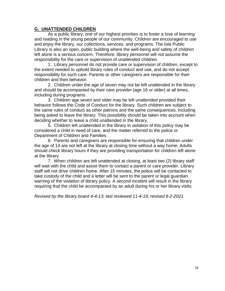# **G. UNATTENDED CHILDREN**

As a public library, one of our highest priorities is to foster a love of learning and reading in the young people of our community. Children are encouraged to use and enjoy the library, our collections, services, and programs. The Iola Public Library is also an open, public building where the well-being and safety of children left alone is a serious concern. Therefore, library personnel will not assume the responsibility for the care or supervision of unattended children.

1. Library personnel do not provide care or supervision of children, except to the extent needed to uphold library rules of conduct and use, and do not accept responsibility for such care. Parents or other caregivers are responsible for their children and their behavior.

2. Children under the age of seven may not be left unattended in the library and should be accompanied by their care provider (age 16 or older) at all times, including during programs.

3. Children age seven and older may be left unattended provided their behavior follows the Code of Conduct for the library. Such children are subject to the same rules of conduct as other patrons and the same consequences, including being asked to leave the library. This possibility should be taken into account when deciding whether to leave a child unattended in the library.

5. Children left unattended in the library in violation of this policy may be considered a child in need of care, and the matter referred to the police or Department of Children and Families.

6. Parents and caregivers are responsible for ensuring that children under the age of 14 are not left at the library at closing time without a way home. Adults should check library hours if they are providing transportation for children left alone at the library.

7. When children are left unattended at closing, at least two (2) library staff will wait with the child and assist them to contact a parent or care provider. Library staff will not drive children home. After 15 minutes, the police will be contacted to take custody of the child and a letter will be sent to the parent or legal guardian warning of the violation of library policy. A second incident will result in the library requiring that the child be accompanied by an adult during his or her library visits.

*Revised by the library board 4-4-13; last reviewed 11-4-19; revised 8-2-2021*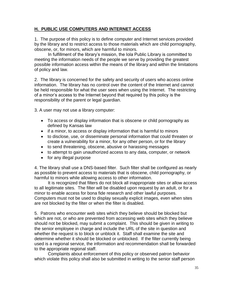# **H. PUBLIC USE COMPUTERS AND INTERNET ACCESS**

1. The purpose of this policy is to define computer and Internet services provided by the library and to restrict access to those materials which are child pornography, obscene, or, for minors, which are harmful to minors.

In fulfillment of the library's mission, the Iola Public Library is committed to meeting the information needs of the people we serve by providing the greatest possible information access within the means of the library and within the limitations of policy and law.

2. The library is concerned for the safety and security of users who access online information. The library has no control over the content of the Internet and cannot be held responsible for what the user sees when using the Internet. The restricting of a minor's access to the Internet beyond that required by this policy is the responsibility of the parent or legal guardian.

3. A user may not use a library computer:

- To access or display information that is obscene or child pornography as defined by Kansas law
- if a minor, to access or display information that is harmful to minors
- to disclose, use, or disseminate personal information that could threaten or create a vulnerability for a minor, for any other person, or for the library
- to send threatening, obscene, abusive or harassing messages
- to attempt to gain unauthorized access to any data, computer, or network
- for any illegal purpose

4. The library shall use a DNS-based filter. Such filter shall be configured as nearly as possible to prevent access to materials that is obscene, child pornography, or harmful to minors while allowing access to other information.

It is recognized that filters do not block all inappropriate sites or allow access to all legitimate sites. The filter will be disabled upon request by an adult, or for a minor to enable access for bona fide research and other lawful purposes. Computers must not be used to display sexually explicit images, even when sites are not blocked by the filter or when the filter is disabled.

5. Patrons who encounter web sites which they believe should be blocked but which are not, or who are prevented from accessing web sites which they believe should not be blocked, may submit a complaint. This should be given in writing to the senior employee in charge and include the URL of the site in question and whether the request is to block or unblock it. Staff shall examine the site and determine whether it should be blocked or unblocked. If the filter currently being used is a regional service, the information and recommendation shall be forwarded to the appropriate regional staff.

Complaints about enforcement of this policy or observed patron behavior which violate this policy shall also be submitted in writing to the senior staff person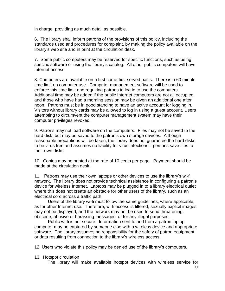in charge, providing as much detail as possible.

6. The library shall inform patrons of the provisions of this policy, including the standards used and procedures for complaint, by making the policy available on the library's web site and in print at the circulation desk.

7. Some public computers may be reserved for specific functions, such as using specific software or using the library's catalog. All other public computers will have Internet access.

8*.* Computers are available on a first come-first served basis. There is a 60 minute time limit on computer use. Computer management software will be used to enforce this time limit and requiring patrons to log in to use the computers. Additional time may be added if the public Internet computers are not all occupied, and those who have had a morning session may be given an additional one after noon. Patrons must be in good standing to have an active account for logging in. Visitors without library cards may be allowed to log in using a guest account. Users attempting to circumvent the computer management system may have their computer privileges revoked.

9*.* Patrons may not load software on the computers. Files may not be saved to the hard disk, but may be saved to the patron's own storage devices. Although reasonable precautions will be taken, the library does not guarantee the hard disks to be virus free and assumes no liability for virus infections if persons save files to their own disks.

10. Copies may be printed at the rate of 10 cents per page. Payment should be made at the circulation desk.

11. Patrons may use their own laptops or other devices to use the library's wi-fi network. The library does not provide technical assistance in configuring a patron's device for wireless Internet. Laptops may be plugged in to a library electrical outlet where this does not create an obstacle for other users of the library, such as an electrical cord across a traffic path.

Users of the library wi-fi must follow the same guidelines, where applicable, as for other Internet use. Therefore, wi-fi access is filtered, sexually explicit images may not be displayed, and the network may not be used to send threatening, obscene, abusive or harassing messages, or for any illegal purposes.

Public wi-fi is not secure. Information sent to and from a patron laptop computer may be captured by someone else with a wireless device and appropriate software. The library assumes no responsibility for the safety of patron equipment or data resulting from connection to the library's wireless access.

12. Users who violate this policy may be denied use of the library's computers.

13. Hotspot circulation

The library will make available hotspot devices with wireless service for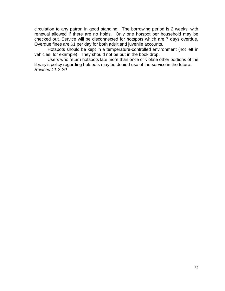circulation to any patron in good standing. The borrowing period is 2 weeks, with renewal allowed if there are no holds. Only one hotspot per household may be checked out. Service will be disconnected for hotspots which are 7 days overdue. Overdue fines are \$1 per day for both adult and juvenile accounts.

Hotspots should be kept in a temperature-controlled environment (not left in vehicles, for example). They should not be put in the book drop.

Users who return hotspots late more than once or violate other portions of the library's policy regarding hotspots may be denied use of the service in the future. *Revised 11-2-20*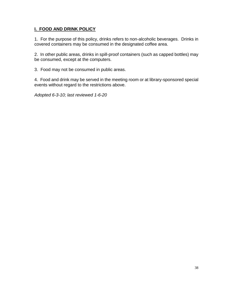# **I. FOOD AND DRINK POLICY**

1. For the purpose of this policy, drinks refers to non-alcoholic beverages. Drinks in covered containers may be consumed in the designated coffee area.

2. In other public areas, drinks in spill-proof containers (such as capped bottles) may be consumed, except at the computers.

3. Food may not be consumed in public areas.

4. Food and drink may be served in the meeting room or at library-sponsored special events without regard to the restrictions above.

*Adopted 6-3-10; last reviewed 1-6-20*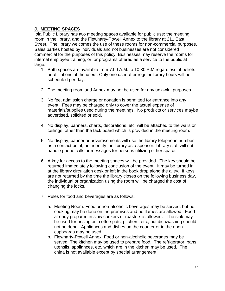# **J. MEETING SPACES**

Iola Public Library has two meeting spaces available for public use: the meeting room in the library, and the Flewharty-Powell Annex to the library at 211 East Street. The library welcomes the use of these rooms for non-commercial purposes. Sales parties hosted by individuals and not businesses are not considered commercial for the purposes of this policy. Businesses may reserve the rooms for internal employee training, or for programs offered as a service to the public at large.

- 1. Both spaces are available from 7:00 A.M. to 10:30 P.M regardless of beliefs or affiliations of the users. Only one user after regular library hours will be scheduled per day.
- 2. The meeting room and Annex may not be used for any unlawful purposes.
- 3. No fee, admission charge or donation is permitted for entrance into any event. Fees may be charged only to cover the actual expense of materials/supplies used during the meetings. No products or services maybe advertised, solicited or sold.
- 4. No display, banners, charts, decorations, etc. will be attached to the walls or ceilings, other than the tack board which is provided in the meeting room.
- 5. No display, banner or advertisements will use the library telephone number as a contact point, nor identify the library as a sponsor. Library staff will not handle phone calls or messages for persons utilizing either space.
- 6. A key for access to the meeting spaces will be provided. The key should be returned immediately following conclusion of the event. It may be turned in at the library circulation desk or left in the book drop along the alley. If keys are not returned by the time the library closes on the following business day, the individual or organization using the room will be charged the cost of changing the locks.
- 7. Rules for food and beverages are as follows:
	- a. Meeting Room: Food or non-alcoholic beverages may be served, but no cooking may be done on the premises and no flames are allowed. Food already prepared in slow cookers or roasters is allowed. The sink may be used for rinsing out coffee pots, pitchers, etc., but dishwashing should not be done. Appliances and dishes on the counter or in the open cupboards may be used.
	- b. Flewharty-Powell Annex: Food or non-alcoholic beverages may be served. The kitchen may be used to prepare food. The refrigerator, pans, utensils, appliances, etc. which are in the kitchen may be used. The china is not available except by special arrangement.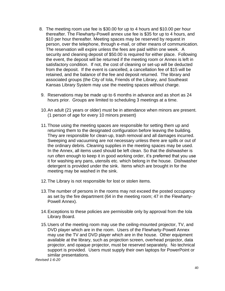- 8. The meeting room use fee is \$30.00 for up to 4 hours and \$10.00 per hour thereafter. The Flewharty-Powell annex use fee is \$35 for up to 4 hours, and \$10 per hour thereafter. Meeting spaces may be reserved by request in person, over the telephone, through e-mail, or other means of communication. The reservation will expire unless the fees are paid within one week. A security and cleaning deposit of \$50.00 is required for either place. Following the event, the deposit will be returned if the meeting room or Annex is left in satisfactory condition. If not, the cost of cleaning or set-up will be deducted from the deposit. If the event is cancelled, a cancellation fee of \$15 will be retained, and the balance of the fee and deposit returned. The library and associated groups (the City of Iola, Friends of the Library, and Southeast Kansas Library System may use the meeting spaces without charge.
- 9. Reservations may be made up to 6 months in advance and as short as 24 hours prior. Groups are limited to scheduling 3 meetings at a time.
- 10.An adult (21 years or older) must be in attendance when minors are present. (1 person of age for every 10 minors present)
- 11.Those using the meeting spaces are responsible for setting them up and returning them to the designated configuration before leaving the building. They are responsible for clean-up, trash removal and all damages incurred. Sweeping and vacuuming are not necessary unless there are spills or out of the ordinary debris. Cleaning supplies in the meeting spaces may be used. In the Annex, all items used should be left clean. So that the dishwasher is run often enough to keep it in good working order, it's preferred that you use it for washing any pans, utensils etc. which belong in the house. Dishwasher detergent is provided under the sink. Items which are brought in for the meeting may be washed in the sink.
- 12.The Library is not responsible for lost or stolen items.
- 13.The number of persons in the rooms may not exceed the posted occupancy as set by the fire department (64 in the meeting room; 47 in the Flewharty-Powell Annex).
- 14.Exceptions to these policies are permissible only by approval from the Iola Library Board.
- 15.Users of the meeting room may use the ceiling-mounted projector, TV, and DVD player which are in the room. Users of the Flewharty-Powell Annex may use the TV and DVD player which are in the house. Other equipment available at the library, such as projection screen, overhead projector, data projector, and opaque projector, must be reserved separately. No technical support is provided. Users must supply their own laptops for PowerPoint or similar presentations.

*Revised 1-6-20*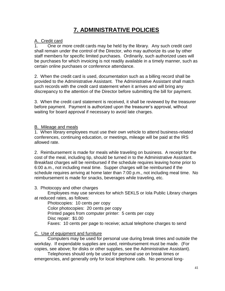# **7. ADMINISTRATIVE POLICIES**

# A. Credit card

1. One or more credit cards may be held by the library. Any such credit card shall remain under the control of the Director, who may authorize its use by other staff members for specific limited purchases. Ordinarily, such authorized uses will be purchases for which invoicing is not readily available in a timely manner, such as certain online purchases or conference attendance.

2. When the credit card is used, documentation such as a billing record shall be provided to the Administrative Assistant. The Administrative Assistant shall match such records with the credit card statement when it arrives and will bring any discrepancy to the attention of the Director before submitting the bill for payment.

3. When the credit card statement is received, it shall be reviewed by the treasurer before payment. Payment is authorized upon the treasurer's approval, without waiting for board approval if necessary to avoid late charges.

# B. Mileage and meals

1. When library employees must use their own vehicle to attend business-related conferences, continuing education, or meetings, mileage will be paid at the IRS allowed rate.

2. Reimbursement is made for meals while traveling on business. A receipt for the cost of the meal, including tip, should be turned in to the Administrative Assistant. Breakfast charges will be reimbursed if the schedule requires leaving home prior to 6:00 a.m., not including meal time. Supper charges will be reimbursed if the schedule requires arriving at home later than 7:00 p.m., not including meal time. No reimbursement is made for snacks, beverages while traveling, etc.

# 3. Photocopy and other charges

Employees may use services for which SEKLS or Iola Public Library charges at reduced rates, as follows:

Photocopies: 10 cents per copy Color photocopies: 20 cents per copy Printed pages from computer printer: 5 cents per copy Disc repair: \$1.00 Faxes: 10 cents per page to receive; actual telephone charges to send

# C. Use of equipment and furniture

Computers may be used for personal use during break times and outside the workday. If expendable supplies are used, reimbursement must be made. (For copies, see above; for disks or other supplies, see the Administrative Assistant).

Telephones should only be used for personal use on break times or emergencies, and generally only for local telephone calls. No personal long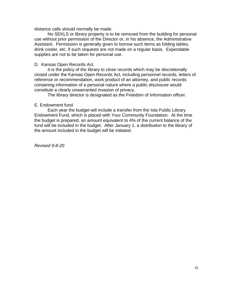distance calls should normally be made.

No SEKLS or library property is to be removed from the building for personal use without prior permission of the Director or, in his absence, the Administrative Assistant. Permission is generally given to borrow such items as folding tables, drink cooler, etc. if such requests are not made on a regular basis. Expendable supplies are not to be taken for personal use.

#### D. Kansas Open Records Act.

It is the policy of the library to close records which may be discretionally closed under the Kansas Open Records Act, including personnel records, letters of reference or recommendation, work product of an attorney, and public records containing information of a personal nature where a public disclosure would constitute a clearly unwarranted invasion of privacy.

The library director is designated as the Freedom of Information officer.

#### E. Endowment fund

Each year the budget will include a transfer from the Iola Public Library Endowment Fund, which is placed with Your Community Foundation. At the time the budget is prepared, an amount equivalent to 4% of the current balance of the fund will be included in the budget. After January 1, a distribution to the library of the amount included in the budget will be initiated.

*Revised 9-8-20*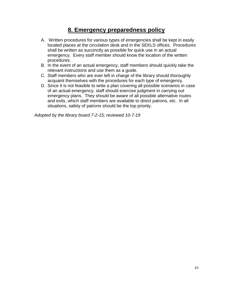# **8. Emergency preparedness policy**

- A. Written procedures for various types of emergencies shall be kept in easily located places at the circulation desk and in the SEKLS offices. Procedures shall be written as succinctly as possible for quick use in an actual emergency. Every staff member should know the location of the written procedures.
- B. In the event of an actual emergency, staff members should quickly take the relevant instructions and use them as a guide.
- C. Staff members who are ever left in charge of the library should thoroughly acquaint themselves with the procedures for each type of emergency.
- D. Since it is not feasible to write a plan covering all possible scenarios in case of an actual emergency, staff should exercise judgment in carrying out emergency plans. They should be aware of all possible alternative routes and exits, which staff members are available to direct patrons, etc. In all situations, safety of patrons should be the top priority.

*Adopted by the library board 7-2-15; reviewed 10-7-19*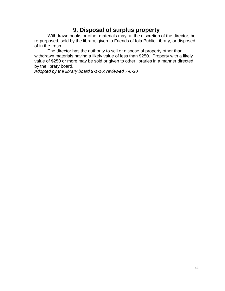# **9. Disposal of surplus property**

Withdrawn books or other materials may, at the discretion of the director, be re-purposed, sold by the library, given to Friends of Iola Public Library, or disposed of in the trash.

The director has the authority to sell or dispose of property other than withdrawn materials having a likely value of less than \$250. Property with a likely value of \$250 or more may be sold or given to other libraries in a manner directed by the library board.

*Adopted by the library board 9-1-16; reviewed 7-6-20*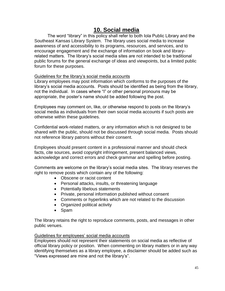# **10. Social media**

The word "library" in this policy shall refer to both Iola Public Library and the Southeast Kansas Library System. The library uses social media to increase awareness of and accessibility to its programs, resources, and services, and to encourage engagement and the exchange of information on book and libraryrelated matters. The library's social media sites are not intended to be traditional public forums for the general exchange of ideas and viewpoints, but a limited public forum for these purposes.

# Guidelines for the library's social media accounts

Library employees may post information which conforms to the purposes of the library's social media accounts. Posts should be identified as being from the library, not the individual. In cases where "I" or other personal pronouns may be appropriate, the poster's name should be added following the post.

Employees may comment on, like, or otherwise respond to posts on the library's social media as individuals from their own social media accounts if such posts are otherwise within these guidelines.

Confidential work-related matters, or any information which is not designed to be shared with the public, should not be discussed through social media. Posts should not reference library patrons without their consent.

Employees should present content in a professional manner and should check facts, cite sources, avoid copyright infringement, present balanced views, acknowledge and correct errors and check grammar and spelling before posting.

Comments are welcome on the library's social media sites. The library reserves the right to remove posts which contain any of the following:

- Obscene or racist content
- Personal attacks, insults, or threatening language
- Potentially libelous statements
- Private, personal information published without consent
- Comments or hyperlinks which are not related to the discussion
- Organized political activity
- Spam

The library retains the right to reproduce comments, posts, and messages in other public venues.

# Guidelines for employees' social media accounts

Employees should not represent their statements on social media as reflective of official library policy or position. When commenting on library matters or in any way identifying themselves as a library employee, a disclaimer should be added such as "Views expressed are mine and not the library's".